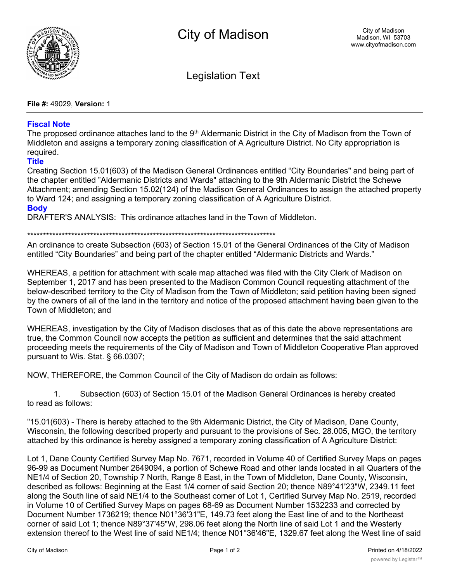

Legislation Text

**File #:** 49029, **Version:** 1

## **Fiscal Note**

The proposed ordinance attaches land to the 9<sup>th</sup> Aldermanic District in the City of Madison from the Town of Middleton and assigns a temporary zoning classification of A Agriculture District. No City appropriation is required.

## **Title**

Creating Section 15.01(603) of the Madison General Ordinances entitled "City Boundaries" and being part of the chapter entitled "Aldermanic Districts and Wards" attaching to the 9th Aldermanic District the Schewe Attachment; amending Section 15.02(124) of the Madison General Ordinances to assign the attached property to Ward 124; and assigning a temporary zoning classification of A Agriculture District. **Body**

DRAFTER'S ANALYSIS: This ordinance attaches land in the Town of Middleton.

\*\*\*\*\*\*\*\*\*\*\*\*\*\*\*\*\*\*\*\*\*\*\*\*\*\*\*\*\*\*\*\*\*\*\*\*\*\*\*\*\*\*\*\*\*\*\*\*\*\*\*\*\*\*\*\*\*\*\*\*\*\*\*\*\*\*\*\*\*\*\*\*\*\*\*\*\*\*\*

An ordinance to create Subsection (603) of Section 15.01 of the General Ordinances of the City of Madison entitled "City Boundaries" and being part of the chapter entitled "Aldermanic Districts and Wards."

WHEREAS, a petition for attachment with scale map attached was filed with the City Clerk of Madison on September 1, 2017 and has been presented to the Madison Common Council requesting attachment of the below-described territory to the City of Madison from the Town of Middleton; said petition having been signed by the owners of all of the land in the territory and notice of the proposed attachment having been given to the Town of Middleton; and

WHEREAS, investigation by the City of Madison discloses that as of this date the above representations are true, the Common Council now accepts the petition as sufficient and determines that the said attachment proceeding meets the requirements of the City of Madison and Town of Middleton Cooperative Plan approved pursuant to Wis. Stat. § 66.0307;

NOW, THEREFORE, the Common Council of the City of Madison do ordain as follows:

1. Subsection (603) of Section 15.01 of the Madison General Ordinances is hereby created to read as follows:

"15.01(603) - There is hereby attached to the 9th Aldermanic District, the City of Madison, Dane County, Wisconsin, the following described property and pursuant to the provisions of Sec. 28.005, MGO, the territory attached by this ordinance is hereby assigned a temporary zoning classification of A Agriculture District:

Lot 1, Dane County Certified Survey Map No. 7671, recorded in Volume 40 of Certified Survey Maps on pages 96-99 as Document Number 2649094, a portion of Schewe Road and other lands located in all Quarters of the NE1/4 of Section 20, Township 7 North, Range 8 East, in the Town of Middleton, Dane County, Wisconsin, described as follows: Beginning at the East 1/4 corner of said Section 20; thence N89°41'23"W, 2349.11 feet along the South line of said NE1/4 to the Southeast corner of Lot 1, Certified Survey Map No. 2519, recorded in Volume 10 of Certified Survey Maps on pages 68-69 as Document Number 1532233 and corrected by Document Number 1736219; thence N01°36'31"E, 149.73 feet along the East line of and to the Northeast corner of said Lot 1; thence N89°37'45"W, 298.06 feet along the North line of said Lot 1 and the Westerly extension thereof to the West line of said NE1/4; thence N01°36'46"E, 1329.67 feet along the West line of said